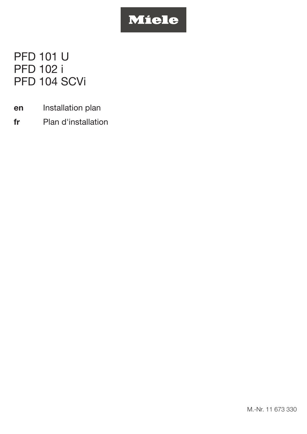# Miele

PFD 101 U PFD 102 i PFD 104 SCVi

- en Installation plan
- fr Plan d'installation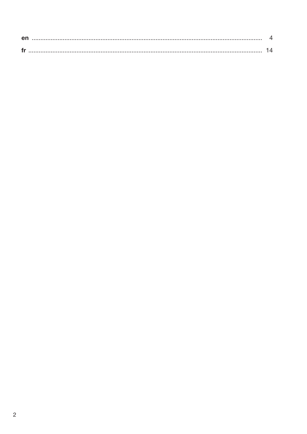| en |  |
|----|--|
|    |  |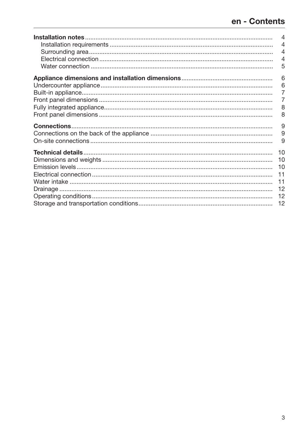<span id="page-2-0"></span>

| 4<br>4<br>4<br>5           |
|----------------------------|
| 6<br>6<br>8<br>8           |
| 9<br>9<br>9                |
| 10<br>10<br>10<br>11<br>11 |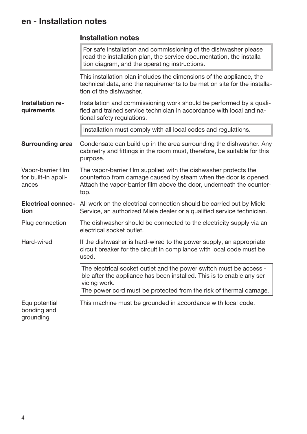#### <span id="page-3-2"></span><span id="page-3-1"></span><span id="page-3-0"></span>Installation notes

<span id="page-3-3"></span>

|                                                    | For safe installation and commissioning of the dishwasher please<br>read the installation plan, the service documentation, the installa-<br>tion diagram, and the operating instructions.                                         |  |  |  |
|----------------------------------------------------|-----------------------------------------------------------------------------------------------------------------------------------------------------------------------------------------------------------------------------------|--|--|--|
|                                                    | This installation plan includes the dimensions of the appliance, the<br>technical data, and the requirements to be met on site for the installa-<br>tion of the dishwasher.                                                       |  |  |  |
| <b>Installation re-</b><br>quirements              | Installation and commissioning work should be performed by a quali-<br>fied and trained service technician in accordance with local and na-<br>tional safety regulations.                                                         |  |  |  |
|                                                    | Installation must comply with all local codes and regulations.                                                                                                                                                                    |  |  |  |
| <b>Surrounding area</b>                            | Condensate can build up in the area surrounding the dishwasher. Any<br>cabinetry and fittings in the room must, therefore, be suitable for this<br>purpose.                                                                       |  |  |  |
| Vapor-barrier film<br>for built-in appli-<br>ances | The vapor-barrier film supplied with the dishwasher protects the<br>countertop from damage caused by steam when the door is opened.<br>Attach the vapor-barrier film above the door, underneath the counter-<br>top.              |  |  |  |
| <b>Electrical connec-</b><br>tion                  | All work on the electrical connection should be carried out by Miele<br>Service, an authorized Miele dealer or a qualified service technician.                                                                                    |  |  |  |
| Plug connection                                    | The dishwasher should be connected to the electricity supply via an<br>electrical socket outlet.                                                                                                                                  |  |  |  |
| Hard-wired                                         | If the dishwasher is hard-wired to the power supply, an appropriate<br>circuit breaker for the circuit in compliance with local code must be<br>used.                                                                             |  |  |  |
|                                                    | The electrical socket outlet and the power switch must be accessi-<br>ble after the appliance has been installed. This is to enable any ser-<br>vicing work.<br>The power cord must be protected from the risk of thermal damage. |  |  |  |
| Equipotential<br>bonding and<br>grounding          | This machine must be grounded in accordance with local code.                                                                                                                                                                      |  |  |  |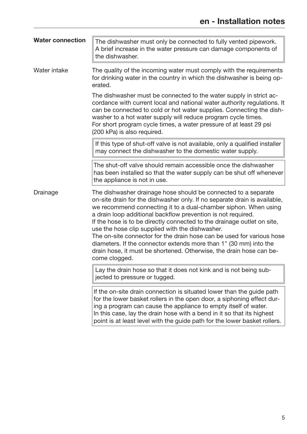<span id="page-4-0"></span>

| <b>Water connection</b> | The dishwasher must only be connected to fully vented pipework.<br>A brief increase in the water pressure can damage components of<br>the dishwasher.                                                                                                                                                                                                                                                                                                                                                                                                                                                                                              |
|-------------------------|----------------------------------------------------------------------------------------------------------------------------------------------------------------------------------------------------------------------------------------------------------------------------------------------------------------------------------------------------------------------------------------------------------------------------------------------------------------------------------------------------------------------------------------------------------------------------------------------------------------------------------------------------|
| Water intake            | The quality of the incoming water must comply with the requirements<br>for drinking water in the country in which the dishwasher is being op-<br>erated.                                                                                                                                                                                                                                                                                                                                                                                                                                                                                           |
|                         | The dishwasher must be connected to the water supply in strict ac-<br>cordance with current local and national water authority regulations. It<br>can be connected to cold or hot water supplies. Connecting the dish-<br>washer to a hot water supply will reduce program cycle times.<br>For short program cycle times, a water pressure of at least 29 psi<br>(200 kPa) is also required.                                                                                                                                                                                                                                                       |
|                         | If this type of shut-off valve is not available, only a qualified installer<br>may connect the dishwasher to the domestic water supply.                                                                                                                                                                                                                                                                                                                                                                                                                                                                                                            |
|                         | The shut-off valve should remain accessible once the dishwasher<br>has been installed so that the water supply can be shut off whenever<br>the appliance is not in use.                                                                                                                                                                                                                                                                                                                                                                                                                                                                            |
| Drainage                | The dishwasher drainage hose should be connected to a separate<br>on-site drain for the dishwasher only. If no separate drain is available,<br>we recommend connecting it to a dual-chamber siphon. When using<br>a drain loop additional backflow prevention is not required.<br>If the hose is to be directly connected to the drainage outlet on site,<br>use the hose clip supplied with the dishwasher.<br>The on-site connector for the drain hose can be used for various hose<br>diameters. If the connector extends more than 1" (30 mm) into the<br>drain hose, it must be shortened. Otherwise, the drain hose can be-<br>come clogged. |
|                         | Lay the drain hose so that it does not kink and is not being sub-<br>jected to pressure or tugged.                                                                                                                                                                                                                                                                                                                                                                                                                                                                                                                                                 |
|                         | If the on-site drain connection is situated lower than the guide path<br>for the lower basket rollers in the open door, a siphoning effect dur-<br>ing a program can cause the appliance to empty itself of water.<br>In this case, lay the drain hose with a bend in it so that its highest<br>point is at least level with the guide path for the lower basket rollers.                                                                                                                                                                                                                                                                          |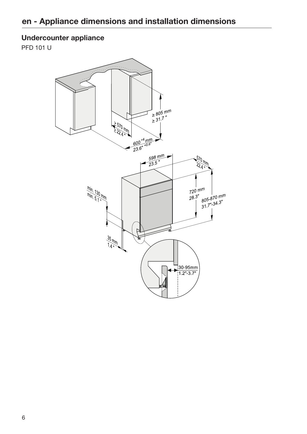#### <span id="page-5-0"></span>Undercounter appliance

PFD 101 U

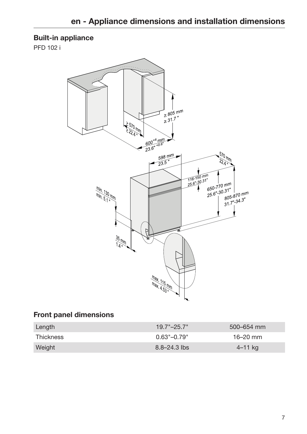#### <span id="page-6-0"></span>Built-in appliance

PFD 102 i



#### <span id="page-6-1"></span>Front panel dimensions

| Length    | $19.7 - 25.7$ "             | $500 - 654$ mm |
|-----------|-----------------------------|----------------|
| Thickness | $0.63^{\circ}-0.79^{\circ}$ | $16 - 20$ mm   |
| Weight    | $8.8 - 24.3$ lbs            | $4 - 11$ kg    |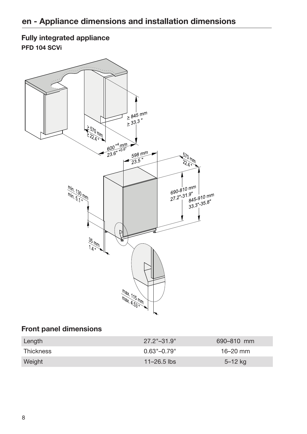#### <span id="page-7-0"></span>Fully integrated appliance PFD 104 SCVi



#### <span id="page-7-1"></span>Front panel dimensions

| Length    | $27.2^{\circ} - 31.9^{\circ}$ | 690-810 mm   |
|-----------|-------------------------------|--------------|
| Thickness | $0.63^{\circ} - 0.79^{\circ}$ | $16 - 20$ mm |
| Weight    | $11 - 26.5$ lbs               | $5 - 12$ kg  |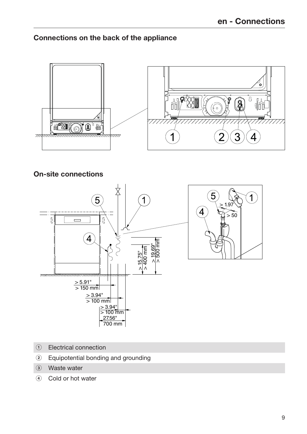#### <span id="page-8-0"></span>Connections on the back of the appliance



<span id="page-8-1"></span>On-site connections



- Electrical connection
- Equipotential bonding and grounding
- Waste water
- 4 Cold or hot water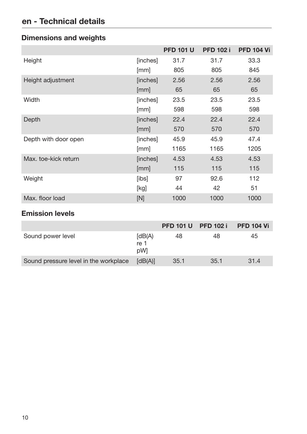## en - Technical details

<span id="page-9-0"></span>

| <b>Dimensions and weights</b> |  |  |
|-------------------------------|--|--|
|-------------------------------|--|--|

|                      |          | <b>PFD 101 U</b> | <b>PFD 102 i</b> | <b>PFD 104 Vi</b> |
|----------------------|----------|------------------|------------------|-------------------|
| Height               | [inches] | 31.7             | 31.7             | 33.3              |
|                      | [mm]     | 805              | 805              | 845               |
| Height adjustment    | [inches] | 2.56             | 2.56             | 2.56              |
|                      | [mm]     | 65               | 65               | 65                |
| Width                | [inches] | 23.5             | 23.5             | 23.5              |
|                      | [mm]     | 598              | 598              | 598               |
| Depth                | [inches] | 22.4             | 22.4             | 22.4              |
|                      | [mm]     | 570              | 570              | 570               |
| Depth with door open | [inches] | 45.9             | 45.9             | 47.4              |
|                      | [mm]     | 1165             | 1165             | 1205              |
| Max. toe-kick return | [inches] | 4.53             | 4.53             | 4.53              |
|                      | [mm]     | 115              | 115              | 115               |
| Weight               | [ibs]    | 97               | 92.6             | 112               |
|                      | [kg]     | 44               | 42               | 51                |
| Max. floor load      | [N]      | 1000             | 1000             | 1000              |

#### <span id="page-9-1"></span>Emission levels

|                                       |                       |      | <b>PFD 101 U PFD 102 i</b> | <b>PFD 104 Vi</b> |
|---------------------------------------|-----------------------|------|----------------------------|-------------------|
| Sound power level                     | [dB(A)]<br>re 1<br>pW | 48   | 48                         | 45                |
| Sound pressure level in the workplace | [dB(A)]               | 35.1 | 35.1                       | 31.4              |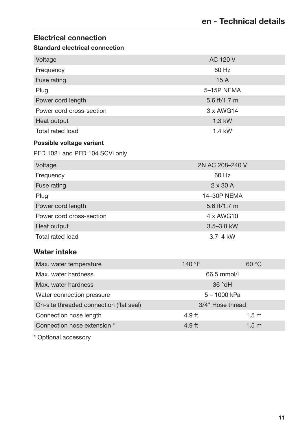#### <span id="page-10-0"></span>Electrical connection

#### Standard electrical connection

| Voltage                                 | <b>AC 120 V</b>            |                 |  |  |
|-----------------------------------------|----------------------------|-----------------|--|--|
| 60 Hz<br>Frequency                      |                            |                 |  |  |
| <b>Fuse rating</b><br>15A               |                            |                 |  |  |
| Plug                                    | 5-15P NEMA                 |                 |  |  |
| Power cord length                       | 5.6 ft/1.7 m               |                 |  |  |
| Power cord cross-section                | 3 x AWG14                  |                 |  |  |
| Heat output                             | 1.3 kW                     |                 |  |  |
| <b>Total rated load</b>                 | 1.4 kW                     |                 |  |  |
| Possible voltage variant                |                            |                 |  |  |
| PFD 102 i and PFD 104 SCVi only         |                            |                 |  |  |
| Voltage                                 | 2N AC 208-240 V            |                 |  |  |
| Frequency                               | 60 Hz                      |                 |  |  |
| Fuse rating                             |                            | $2 \times 30$ A |  |  |
| Plug                                    |                            | 14-30P NEMA     |  |  |
| Power cord length                       |                            | 5.6 ft/1.7 m    |  |  |
| Power cord cross-section                | 4 x AWG10                  |                 |  |  |
| Heat output                             | 3.5-3.8 kW                 |                 |  |  |
| <b>Total rated load</b>                 | $3.7 - 4$ kW               |                 |  |  |
| <b>Water intake</b>                     |                            |                 |  |  |
| Max. water temperature                  | 140 °F                     | 60 °C           |  |  |
| Max. water hardness                     | 66.5 mmol/l                |                 |  |  |
| Max. water hardness                     | 36 °dH                     |                 |  |  |
| Water connection pressure               | $5 - 1000$ kPa             |                 |  |  |
| On-site threaded connection (flat seal) | 3/4" Hose thread           |                 |  |  |
| Connection hose length                  | 1.5 <sub>m</sub><br>4.9 ft |                 |  |  |

<span id="page-10-1"></span>Connection hose extension \* 1.5 m

\* Optional accessory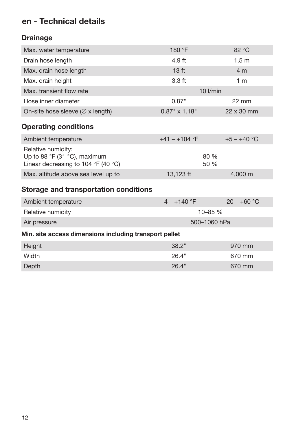## en - Technical details

### <span id="page-11-0"></span>**Drainage**

<span id="page-11-1"></span>

| Max. water temperature                                                                    | 180 °F               | 82 °C            |  |
|-------------------------------------------------------------------------------------------|----------------------|------------------|--|
| Drain hose length                                                                         | 4.9 ft               | 1.5 <sub>m</sub> |  |
| Max. drain hose length                                                                    | 13 <sub>ft</sub>     | 4 m              |  |
| Max. drain height                                                                         | $3.3$ ft             | 1 <sub>m</sub>   |  |
| Max, transient flow rate                                                                  | $10$ $l/min$         |                  |  |
| Hose inner diameter                                                                       | 0.87"                | $22 \text{ mm}$  |  |
| On-site hose sleeve ( $\varnothing$ x length)                                             | $0.87" \times 1.18"$ | 22 x 30 mm       |  |
| <b>Operating conditions</b>                                                               |                      |                  |  |
| Ambient temperature                                                                       | $+41 - +104$ °F      | $+5 - +40$ °C    |  |
| Relative humidity:<br>Up to 88 °F (31 °C), maximum<br>Linear decreasing to 104 °F (40 °C) | 80 %<br>50 %         |                  |  |
| Max. altitude above sea level up to                                                       | 13,123 ft            | 4,000 m          |  |
| <b>Storage and transportation conditions</b>                                              |                      |                  |  |
| Ambient temperature                                                                       | $-4 - +140$ °F       | $-20 - +60$ °C   |  |
| Relative humidity                                                                         | 10-85 %              |                  |  |
| Air pressure                                                                              | 500-1060 hPa         |                  |  |
| Min. site access dimensions including transport pallet                                    |                      |                  |  |
| Height                                                                                    | 38.2"                | 970 mm           |  |
| Width                                                                                     | 26.4"                | 670 mm           |  |

<span id="page-11-2"></span>Depth 26.4" 670 mm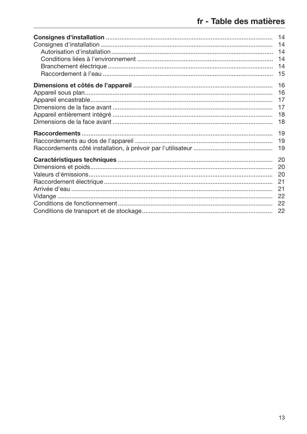<span id="page-12-0"></span>

| 14<br>15 |
|----------|
| 16<br>18 |
|          |
|          |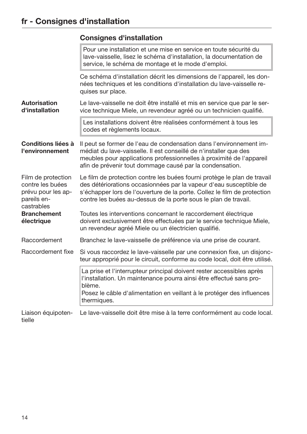<span id="page-13-3"></span><span id="page-13-2"></span><span id="page-13-1"></span><span id="page-13-0"></span>

|                                                                                           | <b>Consignes d'installation</b>                                                                                                                                                                                                                                                               |  |  |
|-------------------------------------------------------------------------------------------|-----------------------------------------------------------------------------------------------------------------------------------------------------------------------------------------------------------------------------------------------------------------------------------------------|--|--|
|                                                                                           | Pour une installation et une mise en service en toute sécurité du<br>lave-vaisselle, lisez le schéma d'installation, la documentation de<br>service, le schéma de montage et le mode d'emploi.                                                                                                |  |  |
|                                                                                           | Ce schéma d'installation décrit les dimensions de l'appareil, les don-<br>nées techniques et les conditions d'installation du lave-vaisselle re-<br>quises sur place.                                                                                                                         |  |  |
| <b>Autorisation</b><br>d'installation                                                     | Le lave-vaisselle ne doit être installé et mis en service que par le ser-<br>vice technique Miele, un revendeur agréé ou un technicien qualifié.                                                                                                                                              |  |  |
|                                                                                           | Les installations doivent être réalisées conformément à tous les<br>codes et règlements locaux.                                                                                                                                                                                               |  |  |
| <b>Conditions liées à</b><br>l'environnement                                              | Il peut se former de l'eau de condensation dans l'environnement im-<br>médiat du lave-vaisselle. Il est conseillé de n'installer que des<br>meubles pour applications professionnelles à proximité de l'appareil<br>afin de prévenir tout dommage causé par la condensation.                  |  |  |
| Film de protection<br>contre les buées<br>prévu pour les ap-<br>pareils en-<br>castrables | Le film de protection contre les buées fourni protège le plan de travail<br>des détériorations occasionnées par la vapeur d'eau susceptible de<br>s'échapper lors de l'ouverture de la porte. Collez le film de protection<br>contre les buées au-dessus de la porte sous le plan de travail. |  |  |
| <b>Branchement</b><br>électrique                                                          | Toutes les interventions concernant le raccordement électrique<br>doivent exclusivement être effectuées par le service technique Miele,<br>un revendeur agréé Miele ou un électricien qualifié.                                                                                               |  |  |
| Raccordement                                                                              | Branchez le lave-vaisselle de préférence via une prise de courant.                                                                                                                                                                                                                            |  |  |
| Raccordement fixe                                                                         | Si vous raccordez le lave-vaisselle par une connexion fixe, un disjonc-<br>teur approprié pour le circuit, conforme au code local, doit être utilisé.                                                                                                                                         |  |  |
|                                                                                           | La prise et l'interrupteur principal doivent rester accessibles après<br>l'installation. Un maintenance pourra ainsi être effectué sans pro-<br>blème.<br>Posez le câble d'alimentation en veillant à le protéger des influences<br>thermiques.                                               |  |  |
| Liaison équipoten-<br>tielle                                                              | Le lave-vaisselle doit être mise à la terre conformément au code local.                                                                                                                                                                                                                       |  |  |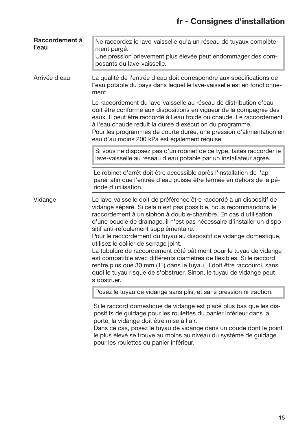<span id="page-14-0"></span>

| Raccordement à<br>l'eau | Ne raccordez le lave-vaisselle qu'à un réseau de tuyaux complète-<br>ment purgé.<br>Une pression brièvement plus élevée peut endommager des com-<br>posants du lave-vaisselle.                                                                                                                                                                                                                                                                                                                                                                                                                                                                                                                                                                                 |
|-------------------------|----------------------------------------------------------------------------------------------------------------------------------------------------------------------------------------------------------------------------------------------------------------------------------------------------------------------------------------------------------------------------------------------------------------------------------------------------------------------------------------------------------------------------------------------------------------------------------------------------------------------------------------------------------------------------------------------------------------------------------------------------------------|
| Arrivée d'eau           | La qualité de l'entrée d'eau doit correspondre aux spécifications de<br>l'eau potable du pays dans lequel le lave-vaisselle est en fonctionne-<br>ment.                                                                                                                                                                                                                                                                                                                                                                                                                                                                                                                                                                                                        |
|                         | Le raccordement du lave-vaisselle au réseau de distribution d'eau<br>doit être conforme aux dispositions en vigueur de la compagnie des<br>eaux. Il peut être raccordé à l'eau froide ou chaude. Le raccordement<br>à l'eau chaude réduit la durée d'exécution du programme.<br>Pour les programmes de courte durée, une pression d'alimentation en<br>eau d'au moins 200 kPa est également requise.                                                                                                                                                                                                                                                                                                                                                           |
|                         | Si vous ne disposez pas d'un robinet de ce type, faites raccorder le<br>lave-vaisselle au réseau d'eau potable par un installateur agréé.                                                                                                                                                                                                                                                                                                                                                                                                                                                                                                                                                                                                                      |
|                         | Le robinet d'arrêt doit être accessible après l'installation de l'ap-<br>pareil afin que l'entrée d'eau puisse être fermée en dehors de la pé-<br>riode d'utilisation.                                                                                                                                                                                                                                                                                                                                                                                                                                                                                                                                                                                         |
| Vidange                 | Le lave-vaisselle doit de préférence être raccordé à un dispositif de<br>vidange séparé. Si cela n'est pas possible, nous recommandons le<br>raccordement à un siphon à double-chambre. En cas d'utilisation<br>d'une boucle de drainage, il n'est pas nécessaire d'installer un dispo-<br>sitif anti-refoulement supplémentaire.<br>Pour le raccordement du tuyau au dispositif de vidange domestique,<br>utilisez le collier de serrage joint.<br>La tubulure de raccordement côté bâtiment pour le tuyau de vidange<br>est compatible avec différents diamètres de flexibles. Si le raccord<br>rentre plus que 30 mm (1") dans le tuyau, il doit être raccourci, sans<br>quoi le tuyau risque de s'obstruer. Sinon, le tuyau de vidange peut<br>s'obstruer. |
|                         | Posez le tuyau de vidange sans plis, et sans pression ni traction.                                                                                                                                                                                                                                                                                                                                                                                                                                                                                                                                                                                                                                                                                             |
|                         | Si le raccord domestique de vidange est placé plus bas que les dis-<br>positifs de guidage pour les roulettes du panier inférieur dans la<br>porte, la vidange doit être mise à l'air.<br>Dans ce cas, posez le tuyau de vidange dans un coude dont le point<br>le plus élevé se trouve au moins au niveau du système de guidage<br>pour les roulettes du panier inférieur.                                                                                                                                                                                                                                                                                                                                                                                    |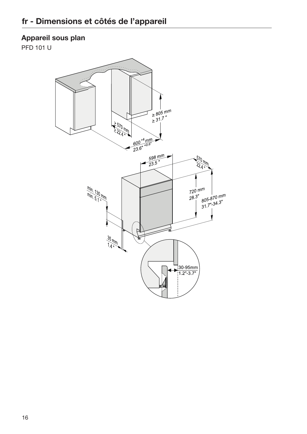#### <span id="page-15-0"></span>Appareil sous plan

PFD 101 U

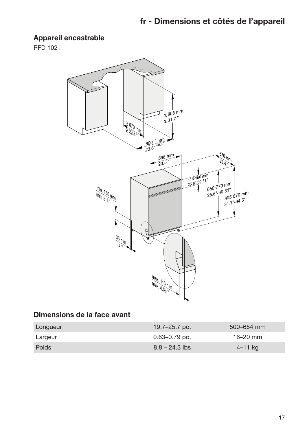#### <span id="page-16-0"></span>Appareil encastrable

PFD 102 i



#### <span id="page-16-1"></span>Dimensions de la face avant

| Longueur | 19.7–25.7 po.     | $500 - 654$ mm |
|----------|-------------------|----------------|
| Largeur  | $0.63 - 0.79$ po. | $16 - 20$ mm   |
| Poids    | $8.8 - 24.3$ lbs  | 4–11 kg        |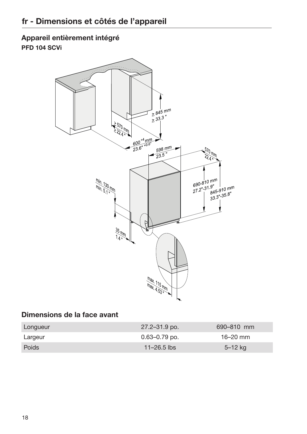<span id="page-17-0"></span>Appareil entièrement intégré PFD 104 SCVi



#### <span id="page-17-1"></span>Dimensions de la face avant

| Longueur     | $27.2 - 31.9$ po. | 690–810 mm   |
|--------------|-------------------|--------------|
| Largeur      | 0.63–0.79 po.     | $16 - 20$ mm |
| <b>Poids</b> | $11 - 26.5$ lbs   | $5 - 12$ kg  |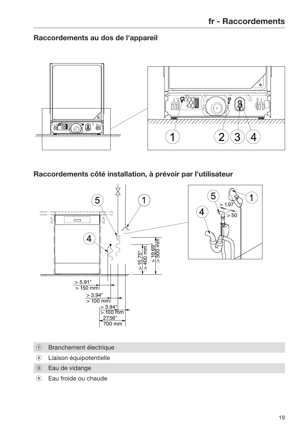<span id="page-18-0"></span>Raccordements au dos de l'appareil



<span id="page-18-1"></span>Raccordements côté installation, à prévoir par l'utilisateur



- Branchement électrique
- Liaison équipotentielle
- Eau de vidange
- Eau froide ou chaude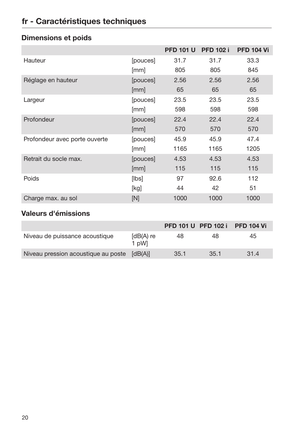## fr - Caractéristiques techniques

|                               |          | <b>PFD 101 U</b> | <b>PFD 102 i</b> | <b>PFD 104 Vi</b> |
|-------------------------------|----------|------------------|------------------|-------------------|
| Hauteur                       | [pouces] | 31.7             | 31.7             | 33.3              |
|                               | [mm]     | 805              | 805              | 845               |
| Réglage en hauteur            | [pouces] | 2.56             | 2.56             | 2.56              |
|                               | [mm]     | 65               | 65               | 65                |
| Largeur                       | [pouces] | 23.5             | 23.5             | 23.5              |
|                               | [mm]     | 598              | 598              | 598               |
| Profondeur                    | [pouces] | 22.4             | 22.4             | 22.4              |
|                               | [mm]     | 570              | 570              | 570               |
| Profondeur avec porte ouverte | [pouces] | 45.9             | 45.9             | 47.4              |
|                               | [mm]     | 1165             | 1165             | 1205              |
| Retrait du socle max.         | [pouces] | 4.53             | 4.53             | 4.53              |
|                               | [mm]     | 115              | 115              | 115               |
| Poids                         | [lbs]    | 97               | 92.6             | 112               |
|                               | [kg]     | 44               | 42               | 51                |
| Charge max. au sol            | [N]      | 1000             | 1000             | 1000              |

### <span id="page-19-0"></span>Dimensions et poids

### <span id="page-19-1"></span>Valeurs d'émissions

|                                             |                      | <b>PFD 101 U PFD 102 i</b> |      | <b>PFD 104 Vi</b> |
|---------------------------------------------|----------------------|----------------------------|------|-------------------|
| Niveau de puissance acoustique              | $[dB(A)$ re<br>1 pWl | 48                         | 48   | 45.               |
| Niveau pression acoustique au poste [dB(A)] |                      | 35.1                       | 35.1 | 31.4              |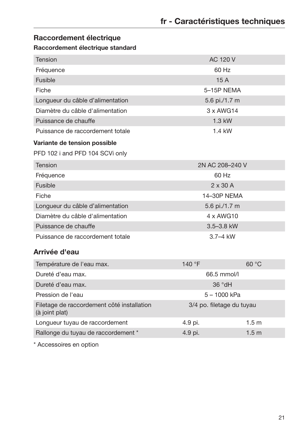### <span id="page-20-0"></span>Raccordement électrique

#### Raccordement électrique standard

| <b>Tension</b>                                               | <b>AC 120 V</b>           |                  |  |
|--------------------------------------------------------------|---------------------------|------------------|--|
| Fréquence                                                    | 60 Hz                     |                  |  |
| <b>Fusible</b>                                               | 15A                       |                  |  |
| Fiche                                                        | 5-15P NEMA                |                  |  |
| Longueur du câble d'alimentation                             | 5.6 pi./1.7 m             |                  |  |
| Diamètre du câble d'alimentation                             | 3 x AWG14                 |                  |  |
| Puissance de chauffe                                         | 1.3 kW                    |                  |  |
| Puissance de raccordement totale                             | 1.4 kW                    |                  |  |
| Variante de tension possible                                 |                           |                  |  |
| PFD 102 i and PFD 104 SCVi only                              |                           |                  |  |
| <b>Tension</b>                                               | 2N AC 208-240 V           |                  |  |
| Fréquence                                                    | 60 Hz                     |                  |  |
| <b>Fusible</b>                                               | $2 \times 30$ A           |                  |  |
| Fiche                                                        | 14-30P NEMA               |                  |  |
| Longueur du câble d'alimentation                             | 5.6 pi./1.7 m             |                  |  |
| Diamètre du câble d'alimentation                             | 4 x AWG10                 |                  |  |
| Puissance de chauffe                                         | 3.5-3.8 kW                |                  |  |
| Puissance de raccordement totale                             | 3.7-4 kW                  |                  |  |
| Arrivée d'eau                                                |                           |                  |  |
| Température de l'eau max.                                    | 140 °F                    | 60 °C            |  |
| Dureté d'eau max.                                            | 66.5 mmol/l               |                  |  |
| Dureté d'eau max.                                            | 36 °dH                    |                  |  |
| Pression de l'eau                                            | $5 - 1000$ kPa            |                  |  |
| Filetage de raccordement côté installation<br>(à joint plat) | 3/4 po. filetage du tuyau |                  |  |
| Longueur tuyau de raccordement                               | 4.9 pi.                   | 1.5 <sub>m</sub> |  |
| Rallonge du tuyau de raccordement *                          | 4.9 pi.                   | 1.5 <sub>m</sub> |  |
|                                                              |                           |                  |  |

<span id="page-20-1"></span>\* Accessoires en option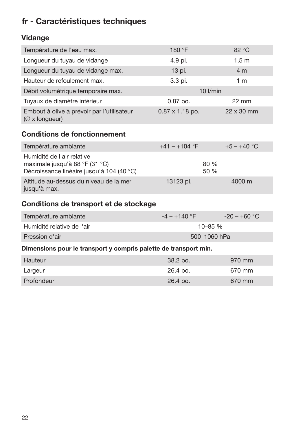## fr - Caractéristiques techniques

<span id="page-21-0"></span>

|  | Vidange |
|--|---------|
|--|---------|

<span id="page-21-2"></span><span id="page-21-1"></span>

| Température de l'eau max.                                                                                 | 180 °F                 | 82 °C             |  |  |
|-----------------------------------------------------------------------------------------------------------|------------------------|-------------------|--|--|
| Longueur du tuyau de vidange                                                                              | 4.9 pi.                | 1.5 <sub>m</sub>  |  |  |
| Longueur du tuyau de vidange max.                                                                         | 13 pi.                 | 4 <sub>m</sub>    |  |  |
| Hauteur de refoulement max.                                                                               | 3.3 pi.                | 1 <sub>m</sub>    |  |  |
| Débit volumétrique temporaire max.                                                                        | $10$ I/min             |                   |  |  |
| Tuyaux de diamètre intérieur                                                                              | 0.87 po.               | $22 \, \text{mm}$ |  |  |
| Embout à olive à prévoir par l'utilisateur<br>$(\emptyset$ x longueur)                                    | $0.87 \times 1.18$ po. | 22 x 30 mm        |  |  |
| <b>Conditions de fonctionnement</b>                                                                       |                        |                   |  |  |
| Température ambiante                                                                                      | $+41 - +104$ °F        | $+5 - +40$ °C     |  |  |
| Humidité de l'air relative<br>maximale jusqu'à 88 °F (31 °C)<br>Décroissance linéaire jusqu'à 104 (40 °C) | 80 %<br>50 %           |                   |  |  |
| Altitude au-dessus du niveau de la mer<br>jusqu'à max.                                                    | 13123 pi.              | 4000 m            |  |  |
| Conditions de transport et de stockage                                                                    |                        |                   |  |  |
| Température ambiante                                                                                      | $-4 - +140$ °F         | $-20 - +60$ °C    |  |  |
| Humidité relative de l'air                                                                                | 10-85 %                |                   |  |  |
| Pression d'air                                                                                            | 500-1060 hPa           |                   |  |  |
| Dimensions pour le transport y compris palette de transport min.                                          |                        |                   |  |  |
| <b>Hauteur</b>                                                                                            | 38.2 po.               | 970 mm            |  |  |
| Largeur                                                                                                   | 26.4 po.               | 670 mm            |  |  |
| Profondeur                                                                                                | 26.4 po.               | 670 mm            |  |  |
|                                                                                                           |                        |                   |  |  |